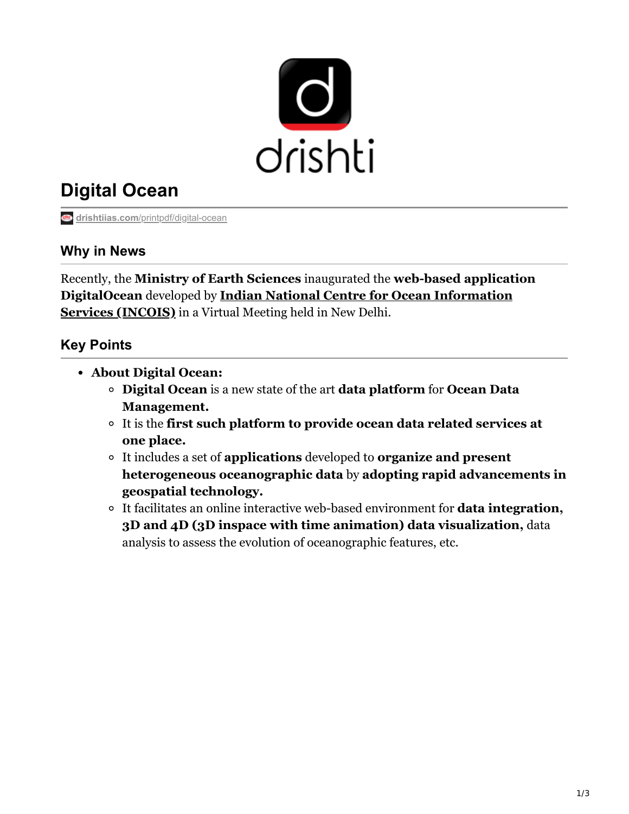

# **Digital Ocean**

**drishtiias.com**[/printpdf/digital-ocean](https://www.drishtiias.com/printpdf/digital-ocean)

#### **Why in News**

Recently, the **Ministry of Earth Sciences** inaugurated the **web-based application DigitalOcean** developed by **[Indian National Centre for Ocean Information](https://www.drishtiias.com/daily-updates/daily-news-analysis/indian-national-centre-for-ocean-information-services) Services (INCOIS)** in a Virtual Meeting held in New Delhi.

## **Key Points**

- **About Digital Ocean:**
	- **Digital Ocean** is a new state of the art **data platform** for **Ocean Data Management.**
	- It is the **first such platform to provide ocean data related services at one place.**
	- It includes a set of **applications** developed to **organize and present heterogeneous oceanographic data** by **adopting rapid advancements in geospatial technology.**
	- It facilitates an online interactive web-based environment for **data integration, 3D and 4D (3D inspace with time animation) data visualization,** data analysis to assess the evolution of oceanographic features, etc.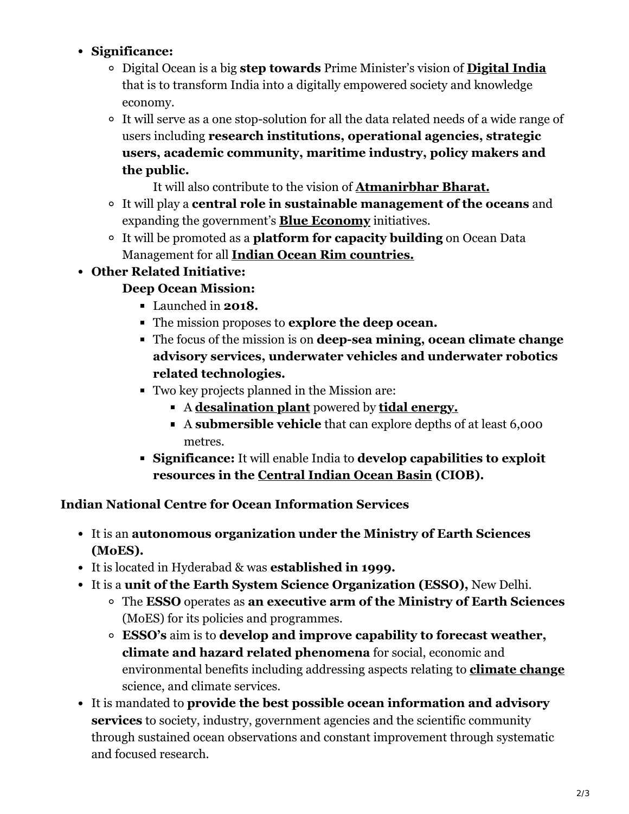## **Significance:**

- Digital Ocean is a big **step towards** Prime Minister's vision of **[Digital India](https://www.drishtiias.com/loksabha-rajyasabha-discussions/in-depth-digital-india)** that is to transform India into a digitally empowered society and knowledge economy.
- It will serve as a one stop-solution for all the data related needs of a wide range of users including **research institutions, operational agencies, strategic users, academic community, maritime industry, policy makers and the public.**

It will also contribute to the vision of **[Atmanirbhar Bharat.](https://www.drishtiias.com/daily-updates/daily-news-editorials/atma-nirbhar-bharathttps:/www.drishtiias.com/daily-updates/daily-news-editorials/atma-nirbhar-bharat-abhiyan-challenges)**

- It will play a **central role in sustainable management of the oceans** and expanding the government's **[Blue Economy](https://www.drishtiias.com/to-the-points/paper3/blue-economy)** initiatives.
- It will be promoted as a **platform for capacity building** on Ocean Data Management for all **[Indian Ocean Rim countries.](https://www.drishtiias.com/daily-updates/daily-news-analysis/19th-iora-council-of-ministers-meeting)**

# **Other Related Initiative:**

# **Deep Ocean Mission:**

- Launched in **2018.**
- The mission proposes to **explore the deep ocean.**
- The focus of the mission is on **deep-sea mining, ocean climate change advisory services, underwater vehicles and underwater robotics related technologies.**
- Two key projects planned in the Mission are:
	- A **[desalination plant](https://www.drishtiias.com/printpdf/desalination-plants-1)** powered by **[tidal energy.](https://www.drishtiias.com/to-the-points/paper3/ocean-energy#:~:text=Total%20identified%20potential%20of%20Tidal,barrage%20technology%20could%20be%20used.&text=OTEC%20has%20a%20theoretical%20potential,subject%20to%20suitable%20technological%20evolution.)**
	- A **submersible vehicle** that can explore depths of at least 6,000 metres.
- **Significance:** It will enable India to **develop capabilities to exploit resources in the [Central Indian Ocean Basin](https://www.drishtiias.com/current-affairs-news-analysis-editorials/news-editorials/2020-07-10) (CIOB).**

## **Indian National Centre for Ocean Information Services**

- It is an **autonomous organization under the Ministry of Earth Sciences (MoES).**
- It is located in Hyderabad & was **established in 1999.**
- It is a **unit of the Earth System Science Organization (ESSO),** New Delhi.
	- The **ESSO** operates as **an executive arm of the Ministry of Earth Sciences** (MoES) for its policies and programmes.
	- **ESSO's** aim is to **develop and improve capability to forecast weather, climate and hazard related phenomena** for social, economic and environmental benefits including addressing aspects relating to **[climate change](https://www.drishtiias.com/daily-updates/daily-news-editorials/climate-change-and-development-in-india)** science, and climate services.
- It is mandated to **provide the best possible ocean information and advisory services** to society, industry, government agencies and the scientific community through sustained ocean observations and constant improvement through systematic and focused research.